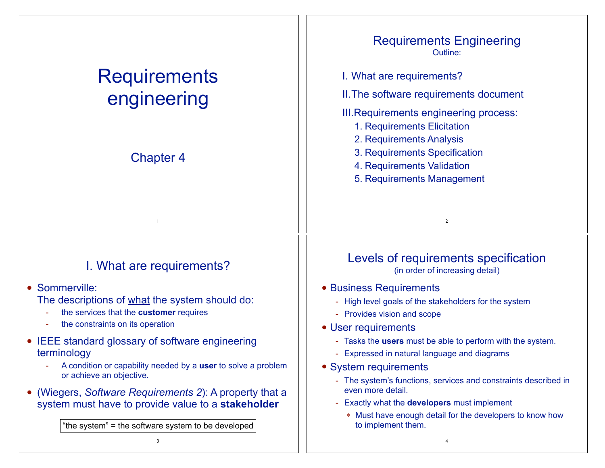| <b>Requirements</b><br>engineering                                                                                                                                                                                                                                  | <b>Requirements Engineering</b><br>Outline:<br>I. What are requirements?<br>II. The software requirements document<br><b>III. Requirements engineering process:</b><br>1. Requirements Elicitation                                                   |
|---------------------------------------------------------------------------------------------------------------------------------------------------------------------------------------------------------------------------------------------------------------------|------------------------------------------------------------------------------------------------------------------------------------------------------------------------------------------------------------------------------------------------------|
| <b>Chapter 4</b>                                                                                                                                                                                                                                                    | 2. Requirements Analysis<br>3. Requirements Specification<br>4. Requirements Validation<br>5. Requirements Management                                                                                                                                |
|                                                                                                                                                                                                                                                                     | $\overline{2}$                                                                                                                                                                                                                                       |
| I. What are requirements?<br>Sommerville:<br>The descriptions of what the system should do:                                                                                                                                                                         | Levels of requirements specification<br>(in order of increasing detail)<br>• Business Requirements<br>- High level goals of the stakeholders for the system                                                                                          |
| the services that the customer requires<br>the constraints on its operation<br><b>IEEE</b> standard glossary of software engineering<br>terminology                                                                                                                 | - Provides vision and scope<br>• User requirements<br>- Tasks the users must be able to perform with the system.<br>- Expressed in natural language and diagrams                                                                                     |
| A condition or capability needed by a user to solve a problem<br>or achieve an objective.<br>(Wiegers, Software Requirements 2): A property that a<br>system must have to provide value to a stakeholder<br>"the system" = the software system to be developed<br>3 | • System requirements<br>- The system's functions, services and constraints described in<br>even more detail.<br>Exactly what the <b>developers</b> must implement<br>* Must have enough detail for the developers to know how<br>to implement them. |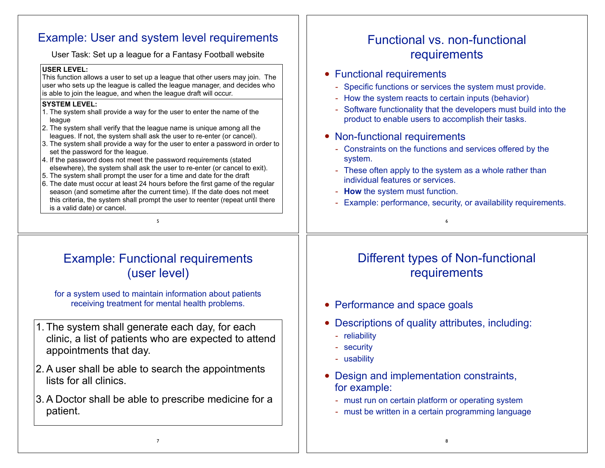# Example: User and system level requirements

User Task: Set up a league for a Fantasy Football website

### **USER LEVEL:**

This function allows a user to set up a league that other users may join. The user who sets up the league is called the league manager, and decides who is able to join the league, and when the league draft will occur.

## **SYSTEM LEVEL:**

- 1. The system shall provide a way for the user to enter the name of the league
- 2. The system shall verify that the league name is unique among all the leagues. If not, the system shall ask the user to re-enter (or cancel).
- 3. The system shall provide a way for the user to enter a password in order to set the password for the league.
- 4. If the password does not meet the password requirements (stated elsewhere), the system shall ask the user to re-enter (or cancel to exit).
- 5. The system shall prompt the user for a time and date for the draft
- 6. The date must occur at least 24 hours before the first game of the regular season (and sometime after the current time). If the date does not meet this criteria, the system shall prompt the user to reenter (repeat until there is a valid date) or cancel.

5

# Example: Functional requirements (user level)

for a system used to maintain information about patients receiving treatment for mental health problems.

- 1. The system shall generate each day, for each clinic, a list of patients who are expected to attend appointments that day.
- 2.A user shall be able to search the appointments lists for all clinics.
- 3.A Doctor shall be able to prescribe medicine for a patient.

# Functional vs. non-functional requirements

- Functional requirements
	- Specific functions or services the system must provide.
	- How the system reacts to certain inputs (behavior)
	- Software functionality that the developers must build into the product to enable users to accomplish their tasks.
- Non-functional requirements
	- Constraints on the functions and services offered by the system.
	- These often apply to the system as a whole rather than individual features or services.
	- **How** the system must function.
	- Example: performance, security, or availability requirements.

6

# Different types of Non-functional requirements

- Performance and space goals
- Descriptions of quality attributes, including:
	- reliability
	- security
	- usability
- Design and implementation constraints, for example:
	- must run on certain platform or operating system
	- must be written in a certain programming language

8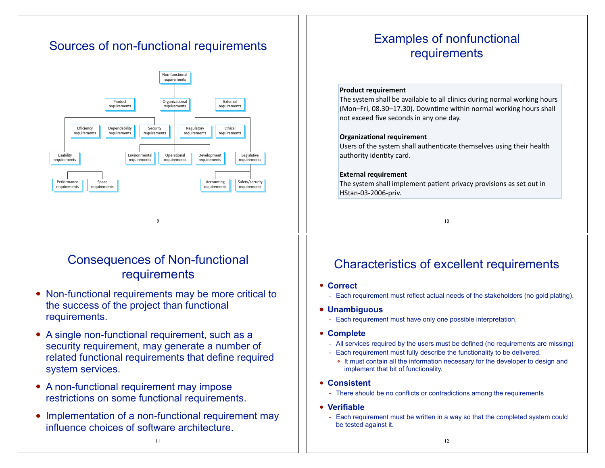# Sources of non-functional requirements



# Consequences of Non-functional requirements

- Non-functional requirements may be more critical to the success of the project than functional requirements.
- A single non-functional requirement, such as a security requirement, may generate a number of related functional requirements that define required system services.
- A non-functional requirement may impose restrictions on some functional requirements.
- Implementation of a non-functional requirement may influence choices of software architecture.

11

# Examples of nonfunctional requirements

### **Product requirement**

The system shall be available to all clinics during normal working hours (Mon–Fri, 08.30–17.30). Downtime within normal working hours shall not exceed five seconds in any one day.

### **Organizational requirement**

Users of the system shall authenticate themselves using their health authority identity card.

### **External requirement**

The system shall implement patient privacy provisions as set out in HStan-03-2006-priv.

10

## Characteristics of excellent requirements

- **Correct**
	- Each requirement must reflect actual needs of the stakeholders (no gold plating).
- **• Unambiguous** 
	- Each requirement must have only one possible interpretation.
- **Complete**
	- All services required by the users must be defined (no requirements are missing)
	- Each requirement must fully describe the functionality to be delivered.
		- ❖ It must contain all the information necessary for the developer to design and implement that bit of functionality.
- **Consistent**
	- There should be no conflicts or contradictions among the requirements
- **Verifiable**
	- Each requirement must be written in a way so that the completed system could be tested against it.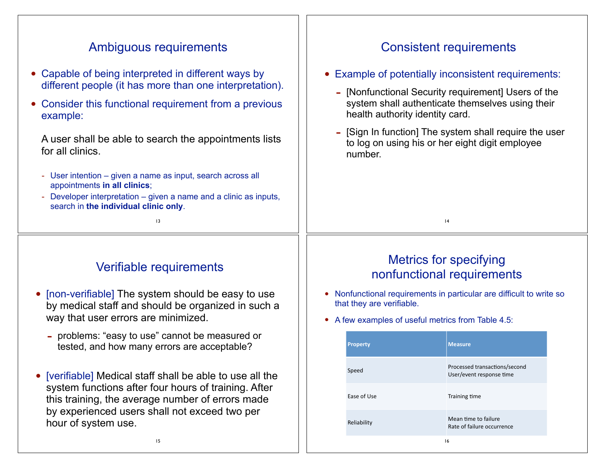| Ambiguous requirements                                                                                                                                         | <b>Consistent requirements</b>                                                                                                             |  |  |
|----------------------------------------------------------------------------------------------------------------------------------------------------------------|--------------------------------------------------------------------------------------------------------------------------------------------|--|--|
| • Capable of being interpreted in different ways by                                                                                                            | • Example of potentially inconsistent requirements:                                                                                        |  |  |
| different people (it has more than one interpretation).<br>Consider this functional requirement from a previous<br>example:                                    | - [Nonfunctional Security requirement] Users of the<br>system shall authenticate themselves using their<br>health authority identity card. |  |  |
| A user shall be able to search the appointments lists<br>for all clinics.                                                                                      | - [Sign In function] The system shall require the user<br>to log on using his or her eight digit employee<br>number.                       |  |  |
| - User intention – given a name as input, search across all<br>appointments in all clinics;<br>Developer interpretation – given a name and a clinic as inputs, |                                                                                                                                            |  |  |
| search in the individual clinic only.<br>13                                                                                                                    | 4                                                                                                                                          |  |  |
|                                                                                                                                                                |                                                                                                                                            |  |  |
|                                                                                                                                                                |                                                                                                                                            |  |  |
| Verifiable requirements                                                                                                                                        | <b>Metrics for specifying</b><br>nonfunctional requirements                                                                                |  |  |
| [non-verifiable] The system should be easy to use<br>by medical staff and should be organized in such a                                                        | Nonfunctional requirements in particular are difficult to write so<br>$\bullet$<br>that they are verifiable.                               |  |  |
| way that user errors are minimized.<br>problems: "easy to use" cannot be measured or<br>tested, and how many errors are acceptable?                            | • A few examples of useful metrics from Table 4.5:<br><b>Measure</b><br><b>Property</b>                                                    |  |  |
| • [verifiable] Medical staff shall be able to use all the                                                                                                      | Processed transactions/second<br>Speed<br>User/event response time                                                                         |  |  |
| system functions after four hours of training. After<br>this training, the average number of errors made                                                       | Ease of Use<br>Training time                                                                                                               |  |  |
| by experienced users shall not exceed two per<br>hour of system use.                                                                                           | Mean time to failure<br>Reliability<br>Rate of failure occurrence                                                                          |  |  |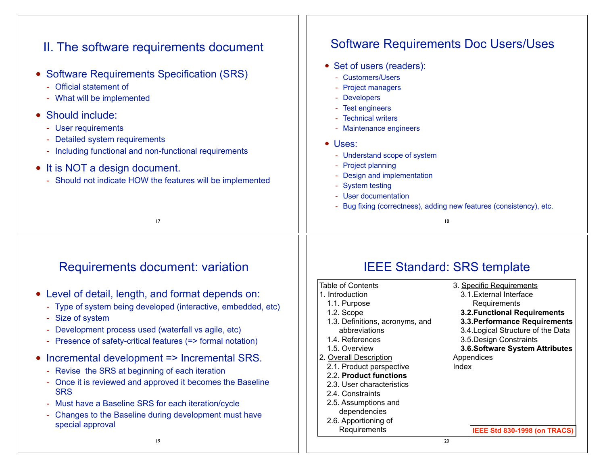| II. The software requirements document<br>• Software Requirements Specification (SRS)<br>Official statement of<br>What will be implemented<br>• Should include:<br>User requirements<br>$\equiv$<br>Detailed system requirements<br>Including functional and non-functional requirements<br>• It is NOT a design document.<br>Should not indicate HOW the features will be implemented<br>17                                                                                                                                                                                                                        | <b>Software Requirements Doc Users/Uses</b><br>• Set of users (readers):<br>- Customers/Users<br>- Project managers<br>- Developers<br>- Test engineers<br>- Technical writers<br>- Maintenance engineers<br>• Uses:<br>- Understand scope of system<br>- Project planning<br>- Design and implementation<br>- System testing<br>- User documentation<br>- Bug fixing (correctness), adding new features (consistency), etc.<br> 8                                                                                                                                                                                                                                                                                                       |
|---------------------------------------------------------------------------------------------------------------------------------------------------------------------------------------------------------------------------------------------------------------------------------------------------------------------------------------------------------------------------------------------------------------------------------------------------------------------------------------------------------------------------------------------------------------------------------------------------------------------|------------------------------------------------------------------------------------------------------------------------------------------------------------------------------------------------------------------------------------------------------------------------------------------------------------------------------------------------------------------------------------------------------------------------------------------------------------------------------------------------------------------------------------------------------------------------------------------------------------------------------------------------------------------------------------------------------------------------------------------|
| <b>Requirements document: variation</b><br>• Level of detail, length, and format depends on:<br>Type of system being developed (interactive, embedded, etc)<br>Size of system<br>Development process used (waterfall vs agile, etc)<br>Presence of safety-critical features (=> formal notation)<br>• Incremental development => Incremental SRS.<br>Revise the SRS at beginning of each iteration<br>Once it is reviewed and approved it becomes the Baseline<br><b>SRS</b><br>Must have a Baseline SRS for each iteration/cycle<br>Changes to the Baseline during development must have<br>special approval<br>19 | <b>IEEE Standard: SRS template</b><br><b>Table of Contents</b><br>3. Specific Requirements<br>3.1. External Interface<br>1. Introduction<br>1.1. Purpose<br>Requirements<br>1.2. Scope<br><b>3.2. Functional Requirements</b><br>1.3. Definitions, acronyms, and<br>3.3. Performance Requirements<br>3.4. Logical Structure of the Data<br>abbreviations<br>1.4. References<br>3.5. Design Constraints<br>1.5. Overview<br>3.6. Software System Attributes<br>2. Overall Description<br>Appendices<br>2.1. Product perspective<br>Index<br>2.2. Product functions<br>2.3. User characteristics<br>2.4. Constraints<br>2.5. Assumptions and<br>dependencies<br>2.6. Apportioning of<br>Requirements<br>IEEE Std 830-1998 (on TRACS)<br>20 |

 $\Box$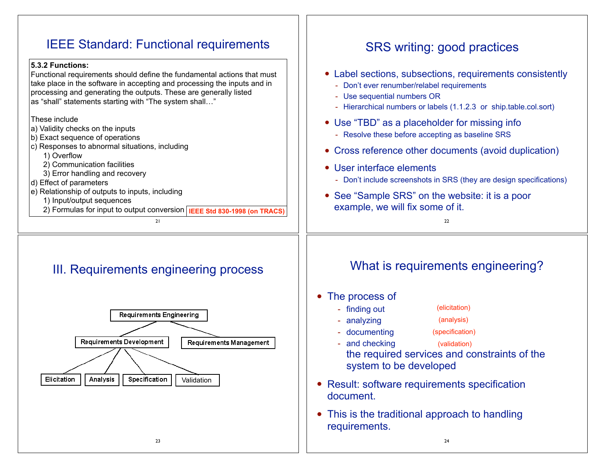# IEEE Standard: Functional requirements

## **5.3.2 Functions:**

Functional requirements should define the fundamental actions that must take place in the software in accepting and processing the inputs and in processing and generating the outputs. These are generally listed as "shall" statements starting with "The system shall…"

## These include

- a) Validity checks on the inputs
- b) Exact sequence of operations
- c) Responses to abnormal situations, including
	- 1) Overflow
	- 2) Communication facilities
- 3) Error handling and recovery
- d) Effect of parameters
- e) Relationship of outputs to inputs, including
	- 1) Input/output sequences
	- 2) Formulas for input to output conversion **IEEE Std 830-1998 (on TRACS)**

 $21$ 

# III. Requirements engineering process



# SRS writing: good practices

- Label sections, subsections, requirements consistently
	- Don't ever renumber/relabel requirements
	- Use sequential numbers OR
	- Hierarchical numbers or labels (1.1.2.3 or ship.table.col.sort)
- Use "TBD" as a placeholder for missing info
	- Resolve these before accepting as baseline SRS
- Cross reference other documents (avoid duplication)
- User interface elements
	- Don't include screenshots in SRS (they are design specifications)
- See "Sample SRS" on the website: it is a poor example, we will fix some of it.

22

# What is requirements engineering?

• The process of

- analyzing

- finding out
	- (analysis)
- documenting
- (specification)

(elicitation)

- and checking the required services and constraints of the system to be developed (validation)
- Result: software requirements specification document.
- This is the traditional approach to handling requirements.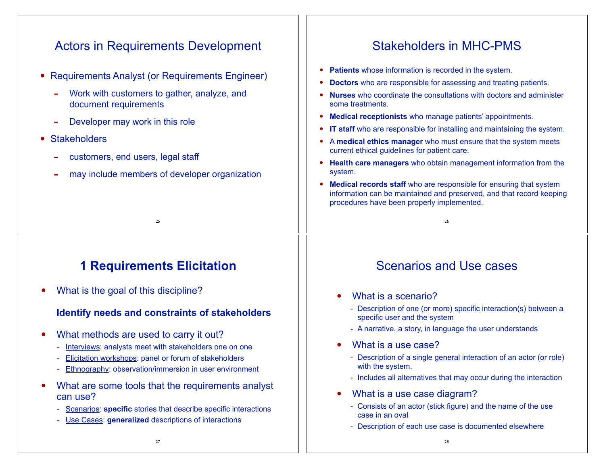### Actors in Requirements Development • Requirements Analyst (or Requirements Engineer) Work with customers to gather, analyze, and document requirements Developer may work in this role • Stakeholders customers, end users, legal staff may include members of developer organization 25 Stakeholders in MHC-PMS **Patients** whose information is recorded in the system. • **Doctors** who are responsible for assessing and treating patients. • **Nurses** who coordinate the consultations with doctors and administer some treatments. • **Medical receptionists** who manage patients' appointments. **IT staff** who are responsible for installing and maintaining the system. • <sup>A</sup>**medical ethics manager** who must ensure that the system meets current ethical guidelines for patient care. • **Health care managers** who obtain management information from the system. **Medical records staff** who are responsible for ensuring that system information can be maintained and preserved, and that record keeping procedures have been properly implemented.  $26$

# **1 Requirements Elicitation**

• What is the goal of this discipline?

## **Identify needs and constraints of stakeholders**

- What methods are used to carry it out?
	- Interviews: analysts meet with stakeholders one on one
	- Elicitation workshops: panel or forum of stakeholders
	- Ethnography: observation/immersion in user environment
- What are some tools that the requirements analyst can use?
	- Scenarios: **specific** stories that describe specific interactions
	- Use Cases: **generalized** descriptions of interactions

# Scenarios and Use cases

- What is a scenario?
	- Description of one (or more) specific interaction(s) between a specific user and the system
	- A narrative, a story, in language the user understands
- What is a use case?
	- Description of a single general interaction of an actor (or role) with the system.
	- Includes all alternatives that may occur during the interaction
- What is a use case diagram?
	- Consists of an actor (stick figure) and the name of the use case in an oval
	- Description of each use case is documented elsewhere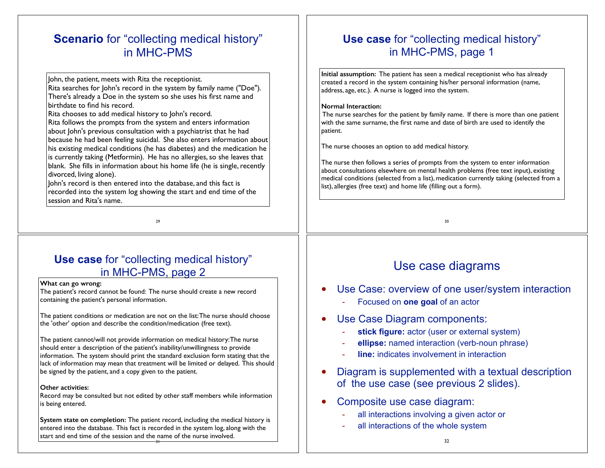## **Scenario** for "collecting medical history" in MHC-PMS

John, the patient, meets with Rita the receptionist.

Rita searches for John's record in the system by family name ("Doe"). There's already a Doe in the system so she uses his first name and birthdate to find his record.

Rita chooses to add medical history to John's record.

Rita follows the prompts from the system and enters information about John's previous consultation with a psychiatrist that he had because he had been feeling suicidal. She also enters information about his existing medical conditions (he has diabetes) and the medication he is currently taking (Metformin). He has no allergies, so she leaves that blank. She fills in information about his home life (he is single, recently divorced, living alone).

John's record is then entered into the database, and this fact is recorded into the system log showing the start and end time of the session and Rita's name.

29

## **Use case** for "collecting medical history" in MHC-PMS, page 2

### **What can go wrong:**

The patient's record cannot be found: The nurse should create a new record containing the patient's personal information.

The patient conditions or medication are not on the list: The nurse should choose the 'other' option and describe the condition/medication (free text).

The patient cannot/will not provide information on medical history: The nurse should enter a description of the patient's inability/unwillingness to provide information. The system should print the standard exclusion form stating that the lack of information may mean that treatment will be limited or delayed. This should be signed by the patient, and a copy given to the patient.

### **Other activities:**

Record may be consulted but not edited by other staff members while information is being entered.

31 **System state on completion:** The patient record, including the medical history is entered into the database. This fact is recorded in the system log, along with the start and end time of the session and the name of the nurse involved.

## **Use case** for "collecting medical history" in MHC-PMS, page 1

**Initial assumption:** The patient has seen a medical receptionist who has already created a record in the system containing his/her personal information (name, address, age, etc.). A nurse is logged into the system.

### **Normal Interaction:**

 The nurse searches for the patient by family name. If there is more than one patient with the same surname, the first name and date of birth are used to identify the patient.

The nurse chooses an option to add medical history.

The nurse then follows a series of prompts from the system to enter information about consultations elsewhere on mental health problems (free text input), existing medical conditions (selected from a list), medication currently taking (selected from a list), allergies (free text) and home life (filling out a form).

30

# Use case diagrams

- Use Case: overview of one user/system interaction
	- Focused on **one goal** of an actor
- Use Case Diagram components:
	- stick figure: actor (user or external system)
	- ellipse: named interaction (verb-noun phrase)
	- **line:** indicates involvement in interaction
- Diagram is supplemented with a textual description of the use case (see previous 2 slides).
- Composite use case diagram:
	- all interactions involving a given actor or
	- all interactions of the whole system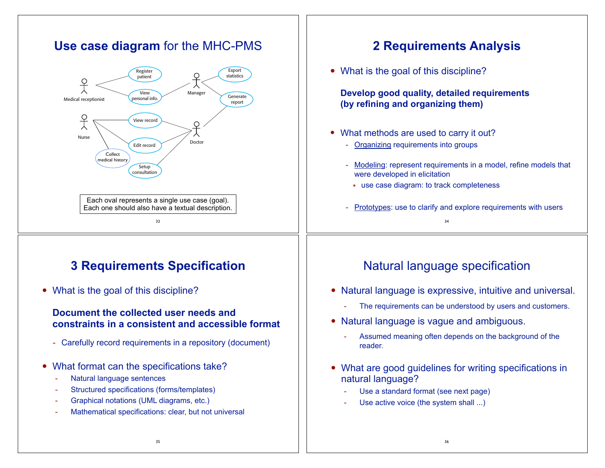#### **Use case diagram** for the MHC-PMS **2 Requirements Analysis** • What is the goal of this discipline? Export Register patient statistics 우 **Develop good quality, detailed requirements**  View Manager Generate personal info. Medical receptionist report **(by refining and organizing them)**  $\frac{Q}{\lambda}$ View record  $\cap$ • What methods are used to carry it out? Nurse Edit record Doctor - Organizing requirements into groups Collect medical history - Modeling: represent requirements in a model, refine models that Setup consultation were developed in elicitation ๏ use case diagram: to track completeness Each oval represents a single use case (goal). Each one should also have a textual description. - Prototypes: use to clarify and explore requirements with users 33 34 **3 Requirements Specification** Natural language specification • What is the goal of this discipline? • Natural language is expressive, intuitive and universal. The requirements can be understood by users and customers. **Document the collected user needs and**  • Natural language is vague and ambiguous. **constraints in a consistent and accessible format** Assumed meaning often depends on the background of the - Carefully record requirements in a repository (document) reader. • What format can the specifications take? • What are good guidelines for writing specifications in Natural language sentences natural language? - Structured specifications (forms/templates) Use a standard format (see next page) - Graphical notations (UML diagrams, etc.) Use active voice (the system shall ...) Mathematical specifications: clear, but not universal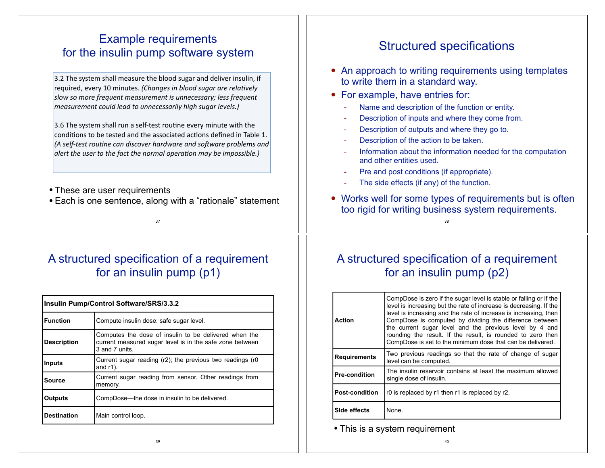## Example requirements for the insulin pump software system

3.2 The system shall measure the blood sugar and deliver insulin, if required, every 10 minutes. (Changes in blood sugar are relatively slow so more frequent measurement is unnecessary; less frequent measurement could lead to unnecessarily high sugar levels.)

3.6 The system shall run a self-test routine every minute with the conditions to be tested and the associated actions defined in Table 1. (A self-test routine can discover hardware and software problems and alert the user to the fact the normal operation may be impossible.)

- These are user requirements
- Each is one sentence, along with a "rationale" statement

37

# A structured specification of a requirement for an insulin pump (p1)

| Insulin Pump/Control Software/SRS/3.3.2 |                                                                                                                                     |  |
|-----------------------------------------|-------------------------------------------------------------------------------------------------------------------------------------|--|
| <b>Function</b>                         | Compute insulin dose: safe sugar level.                                                                                             |  |
| <b>Description</b>                      | Computes the dose of insulin to be delivered when the<br>current measured sugar level is in the safe zone between<br>3 and 7 units. |  |
| Inputs                                  | Current sugar reading (r2); the previous two readings (r0<br>and $r1$ ).                                                            |  |
| Source                                  | Current sugar reading from sensor. Other readings from<br>memory.                                                                   |  |
| <b>Outputs</b>                          | CompDose—the dose in insulin to be delivered.                                                                                       |  |
| <b>Destination</b>                      | Main control loop.                                                                                                                  |  |

# Structured specifications

- An approach to writing requirements using templates to write them in a standard way.
- For example, have entries for:
	- Name and description of the function or entity.
	- Description of inputs and where they come from.
	- Description of outputs and where they go to.
	- Description of the action to be taken.
	- Information about the information needed for the computation and other entities used.
	- Pre and post conditions (if appropriate).
	- The side effects (if any) of the function.
- Works well for some types of requirements but is often too rigid for writing business system requirements.

38

# A structured specification of a requirement for an insulin pump (p2)

| <b>Requirements</b>   | the current sugar level and the previous level by 4 and<br>rounding the result. If the result, is rounded to zero then<br>CompDose is set to the minimum dose that can be delivered.<br>Two previous readings so that the rate of change of sugar<br>level can be computed. |
|-----------------------|-----------------------------------------------------------------------------------------------------------------------------------------------------------------------------------------------------------------------------------------------------------------------------|
| <b>Pre-condition</b>  | The insulin reservoir contains at least the maximum allowed<br>single dose of insulin.                                                                                                                                                                                      |
| <b>Post-condition</b> | r0 is replaced by r1 then r1 is replaced by r2.                                                                                                                                                                                                                             |
| Side effects          | None.                                                                                                                                                                                                                                                                       |

• This is a system requirement